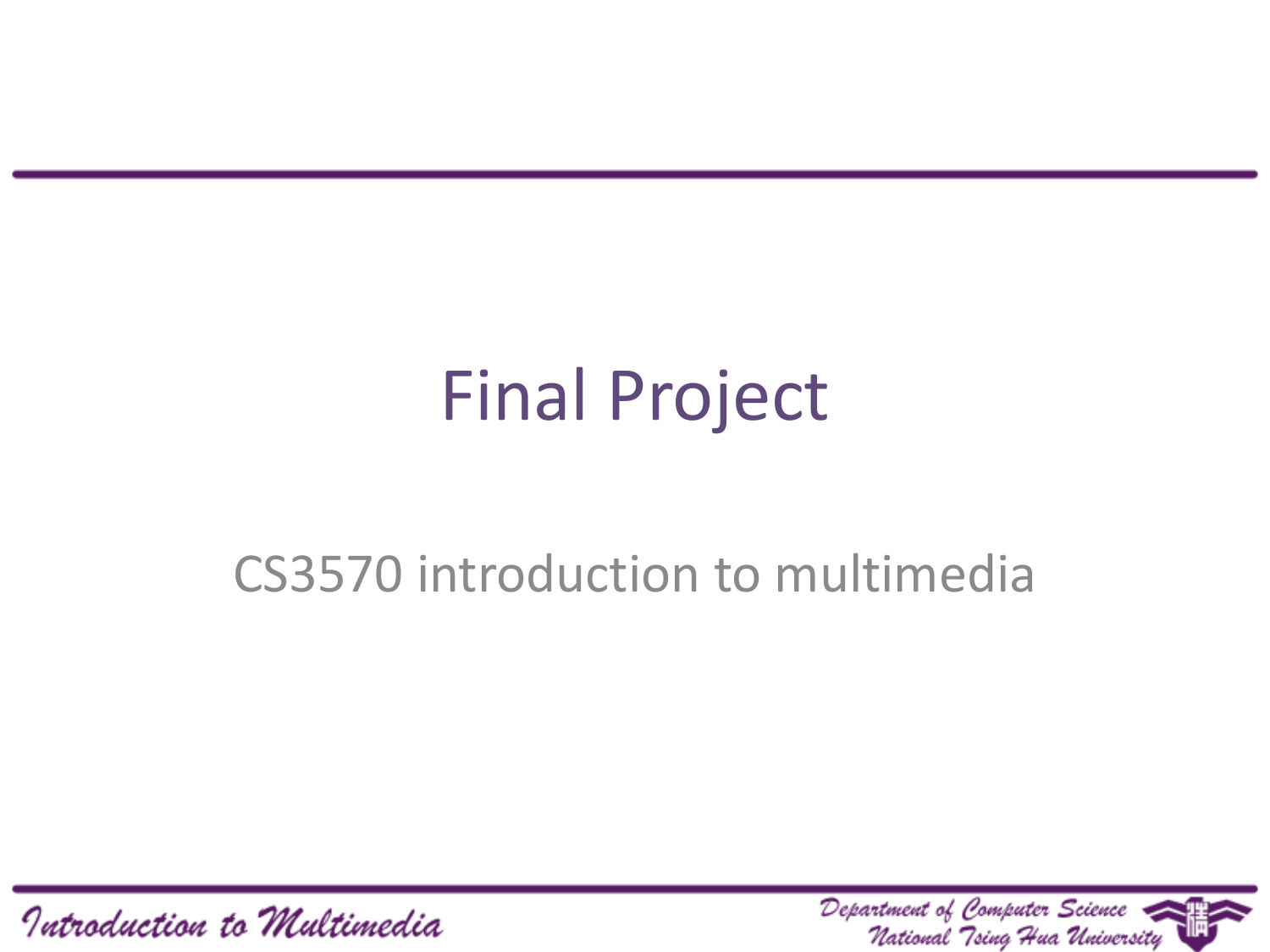## Final Project

#### CS3570 introduction to multimedia

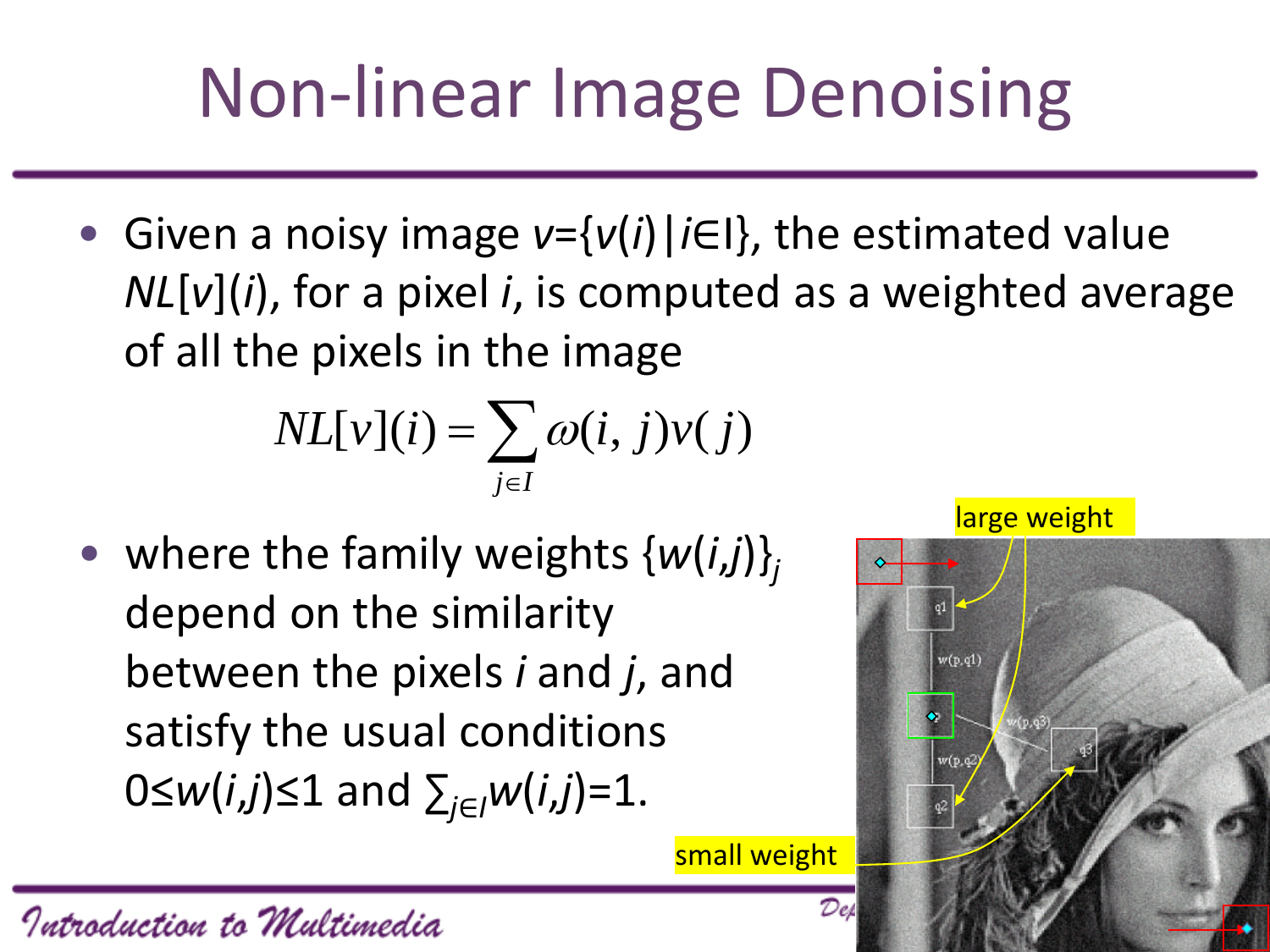# Non-linear Image Denoising

• Given a noisy image *v*={*v*(*i*)|*i*∈I}, the estimated value *NL*[*v*](*i*), for a pixel *i*, is computed as a weighted average of all the pixels in the image

$$
NL[v](i) = \sum_{j \in I} \omega(i, j)v(j)
$$

• where the family weights {*w*(*i*,*j*)}*<sup>j</sup>* depend on the similarity between the pixels *i* and *j*, and satisfy the usual conditions 0≤*w*(*i*,*j*)≤1 and ∑*<sup>j</sup>*∈*<sup>I</sup> w*(*i*,*j*)=1.

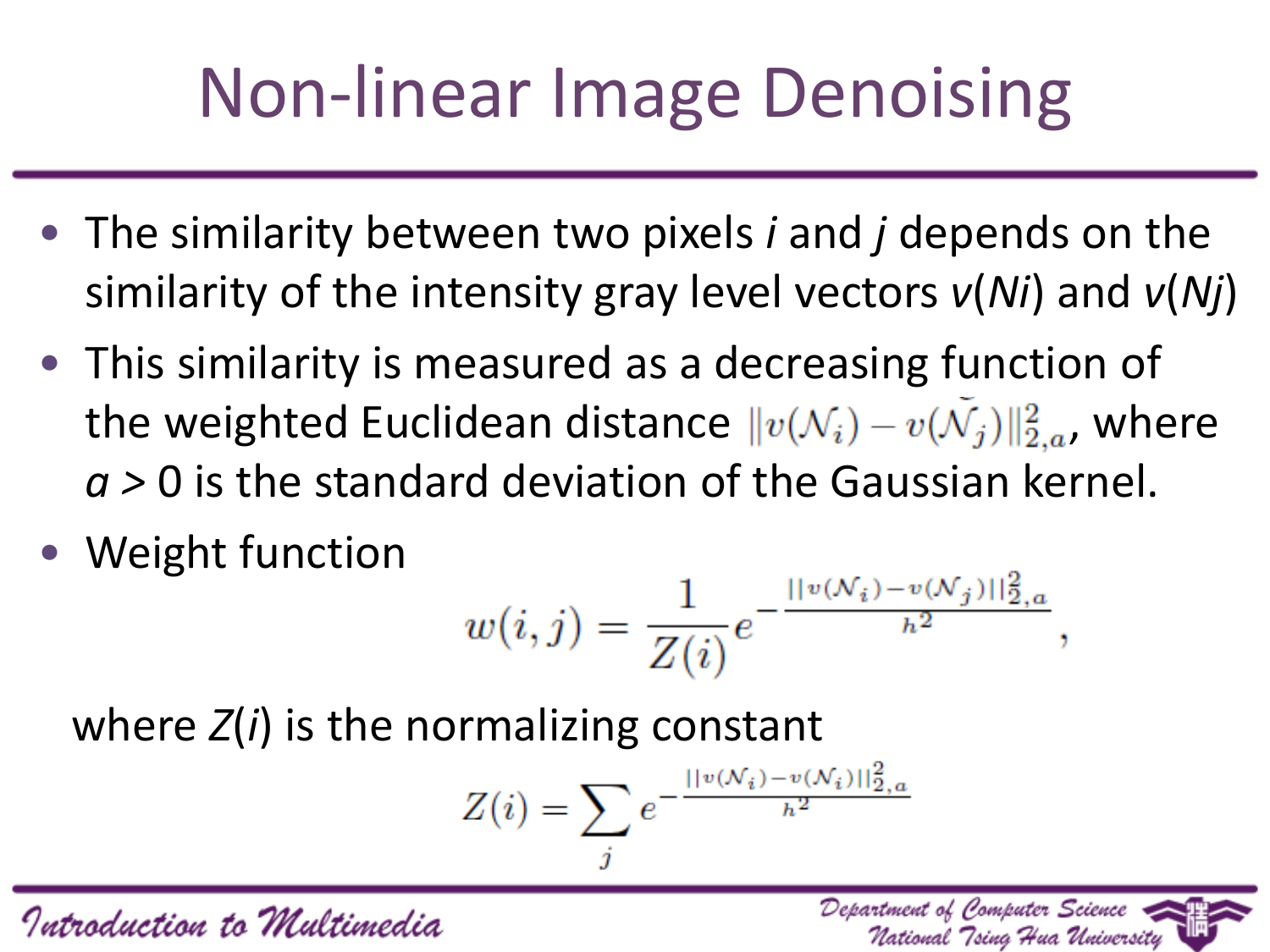# Non-linear Image Denoising

- The similarity between two pixels *i* and *j* depends on the similarity of the intensity gray level vectors *v*(*Ni*) and *v*(*Nj*)
- This similarity is measured as a decreasing function of the weighted Euclidean distance  $||v(\mathcal{N}_i) - v(\mathcal{N}_j)||_{2,a}^2$ , where *a >* 0 is the standard deviation of the Gaussian kernel.
- Weight function

$$
w(i,j) = \frac{1}{Z(i)} e^{-\frac{||v(\mathcal{N}_i) - v(\mathcal{N}_j)||_{2,a}^2}{h^2}},
$$

Department of Computer Science

National "Tsina "Hua Universitu

where *Z*(*i*) is the normalizing constant

$$
Z(i) = \sum_{j} e^{-\frac{||v(\mathcal{N}_i) - v(\mathcal{N}_i)||_{2,a}^2}{h^2}}
$$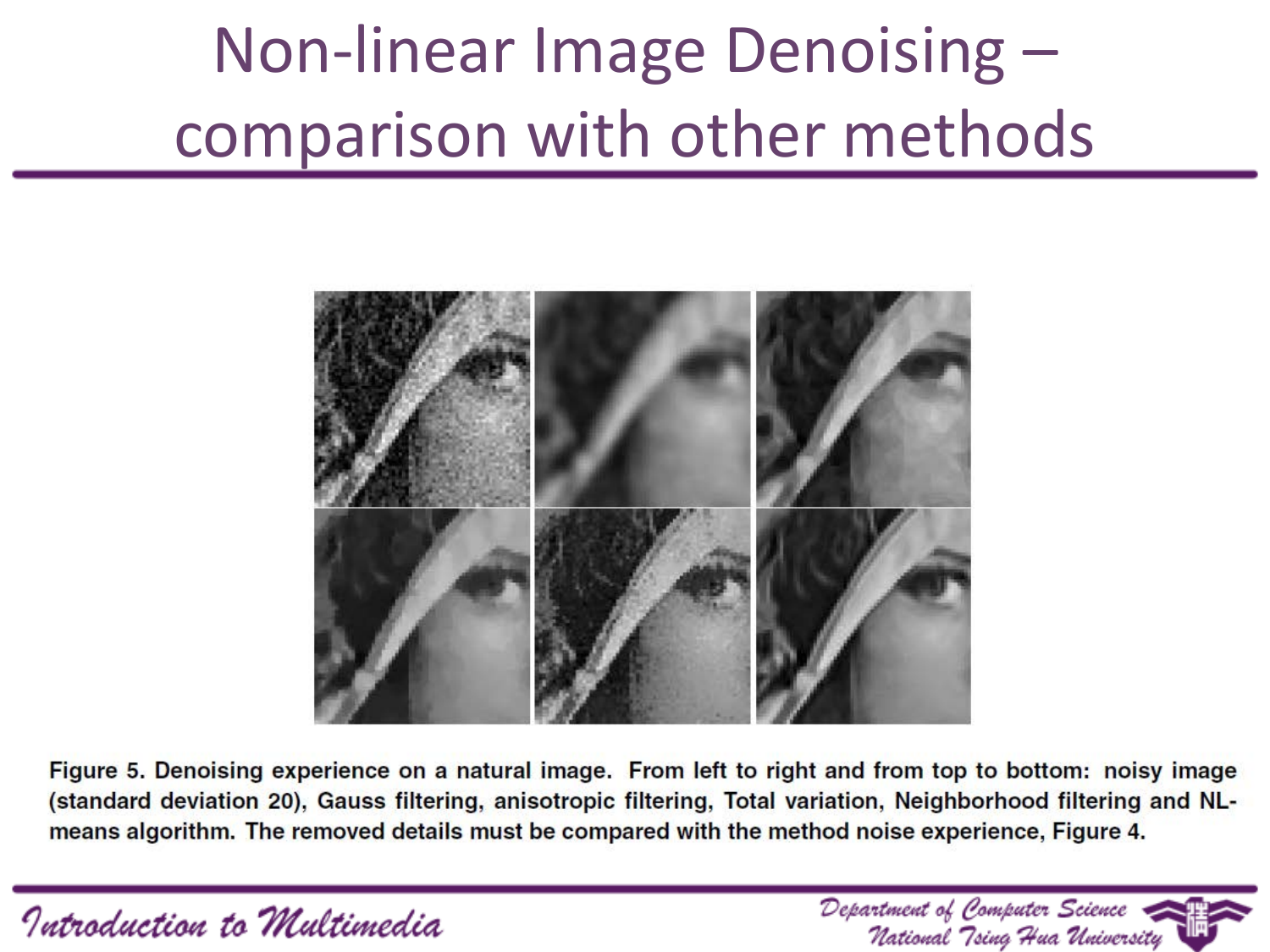## Non-linear Image Denoising – comparison with other methods



Figure 5. Denoising experience on a natural image. From left to right and from top to bottom: noisy image (standard deviation 20), Gauss filtering, anisotropic filtering, Total variation, Neighborhood filtering and NLmeans algorithm. The removed details must be compared with the method noise experience, Figure 4.

Introduction to Multimedia

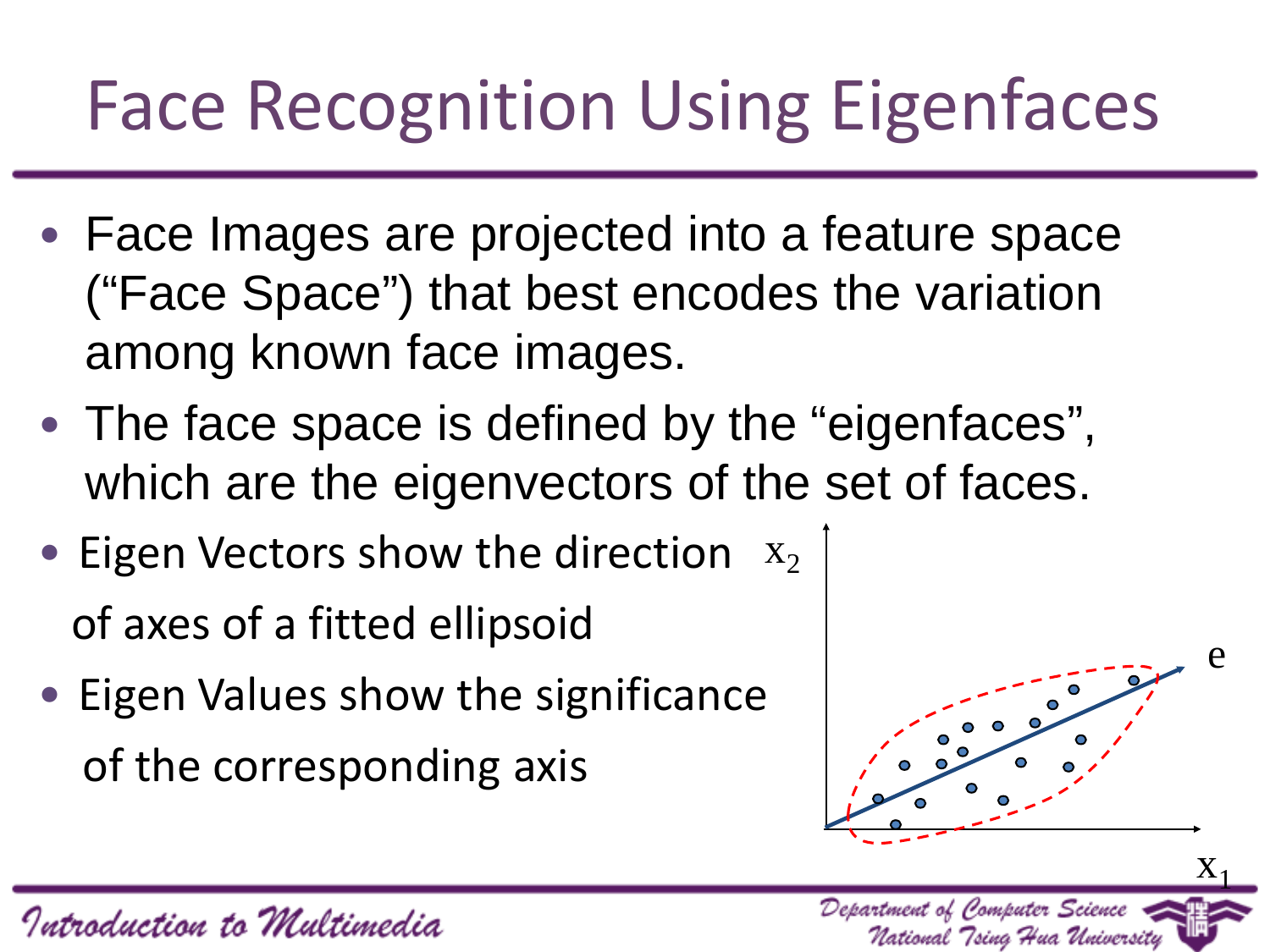# Face Recognition Using Eigenfaces

- Face Images are projected into a feature space ("Face Space") that best encodes the variation among known face images.
- The face space is defined by the "eigenfaces", which are the eigenvectors of the set of faces.
- Eigen Vectors show the direction  $x_2$ of axes of a fitted ellipsoid
- Eigen Values show the significance of the corresponding axis



Department of Computer Science

National Tsing Hua Universi

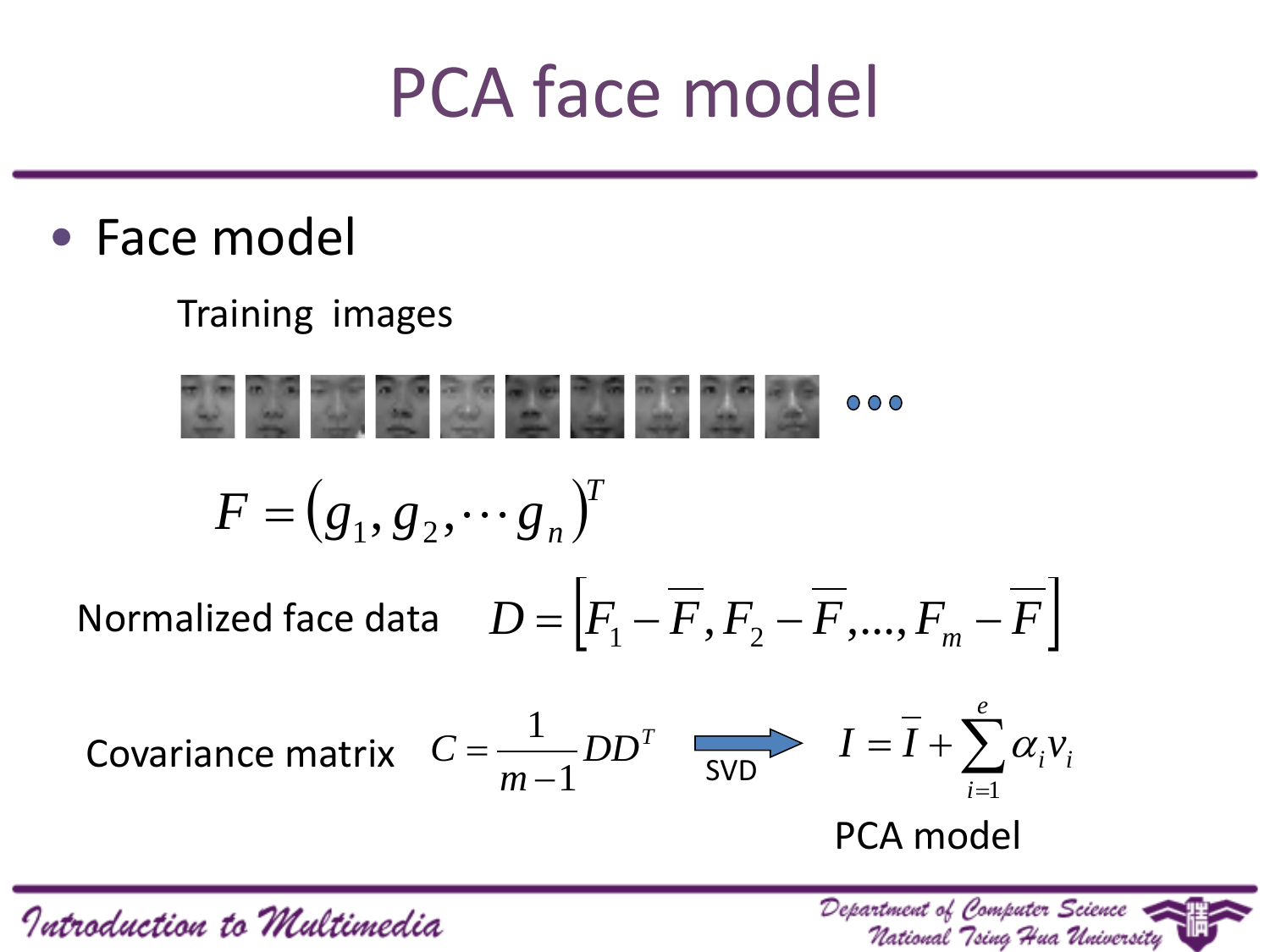#### PCA face model

• Face model

#### Training images

 $000$  $F = (g_1, g_2, \cdots g_n)^T$  $\mathcal{D} = \begin{bmatrix} F_1 - F, F_2 - F, ..., F_m - F \end{bmatrix}$ *e* 1 Covariance matrix  $C = \frac{1}{m-1}DD^T$  SVD  $I = \overline{I} + \sum_{i=1}^{m}$  $I = I + \sum \alpha_i v_i$  $\boldsymbol{D}\boldsymbol{D}^{T}$ *C*  $\alpha$ SVD *m* 1 *i* 1 PCA model

Introduction to Multimedia

Department of Computer Science National Tsing Hua University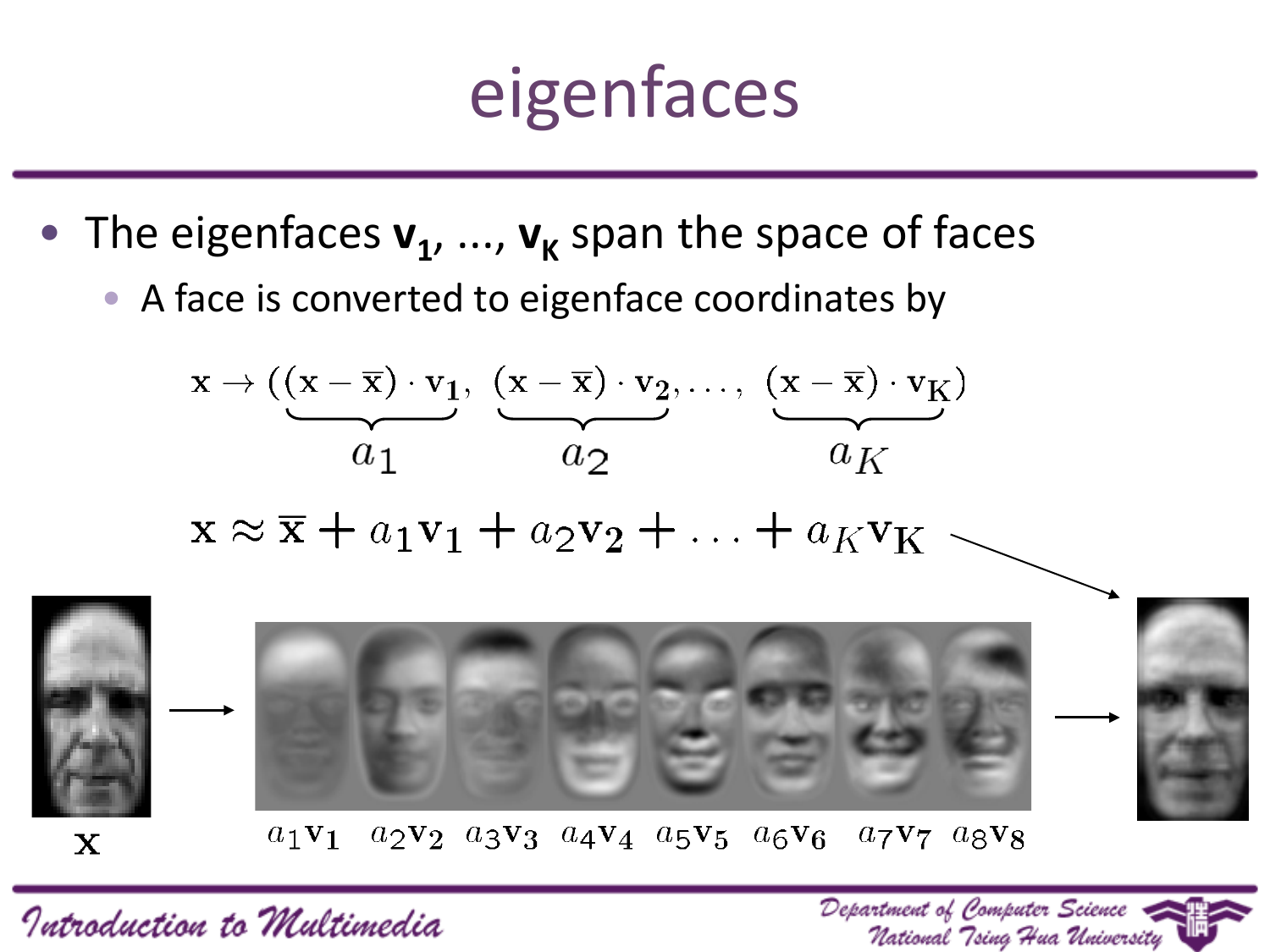# eigenfaces

- The eigenfaces  $v_1$ , ...,  $v_k$  span the space of faces
	- A face is converted to eigenface coordinates by





 $a_2v_2$   $a_3v_3$   $a_4v_4$   $a_5v_5$   $a_6v_6$   $a_7v_7$   $a_8v_8$  $a_1$  V<sub>1</sub>

Introduction to Multimedia

X

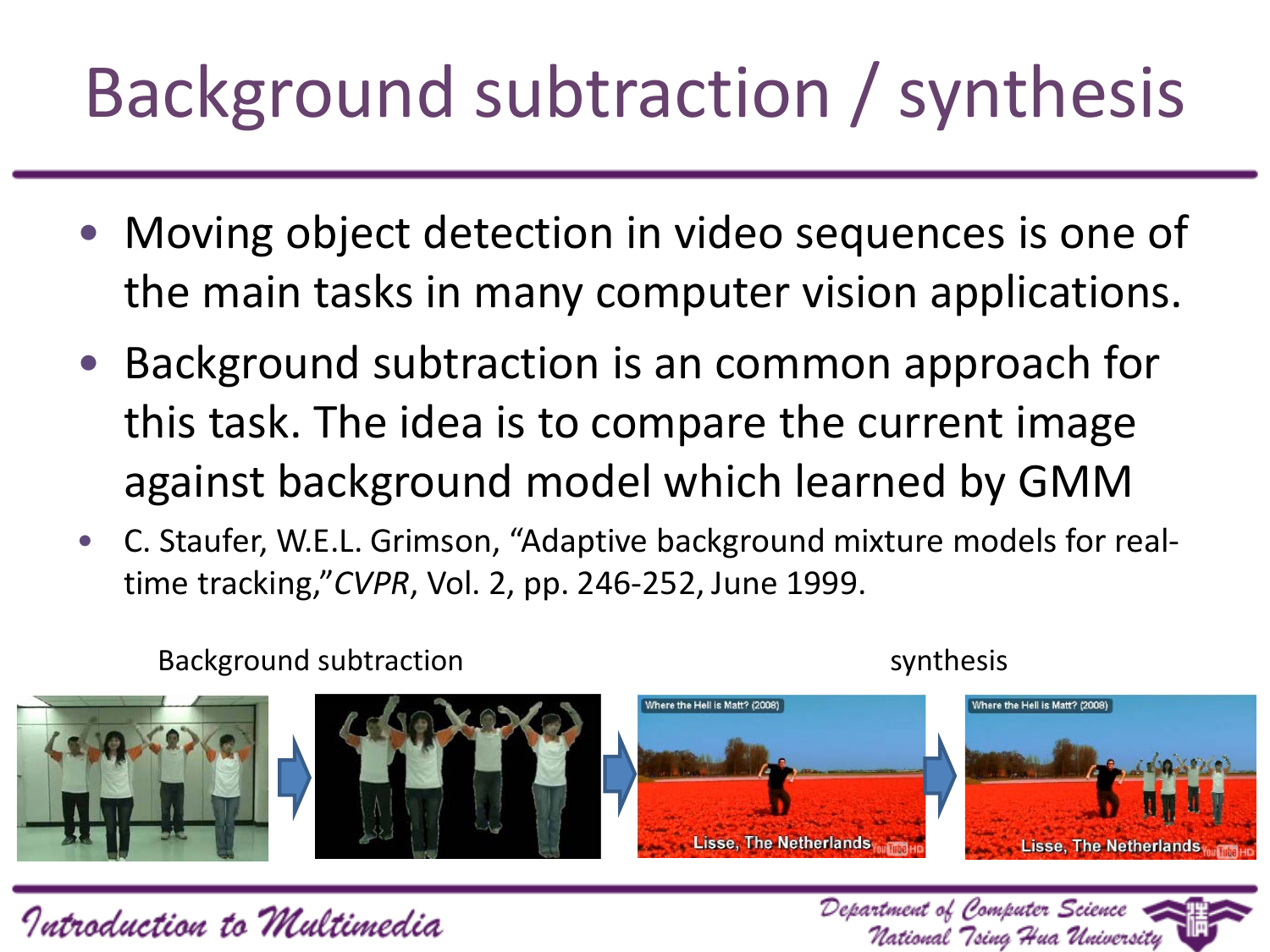# Background subtraction / synthesis

- Moving object detection in video sequences is one of the main tasks in many computer vision applications.
- Background subtraction is an common approach for this task. The idea is to compare the current image against background model which learned by GMM
- C. Staufer, W.E.L. Grimson, "Adaptive background mixture models for realtime tracking,"*CVPR*, Vol. 2, pp. 246-252, June 1999.

Background subtraction synthesis



Department of Computer Science

National "Tsina "Hua Universitu



Introduction to Multimedia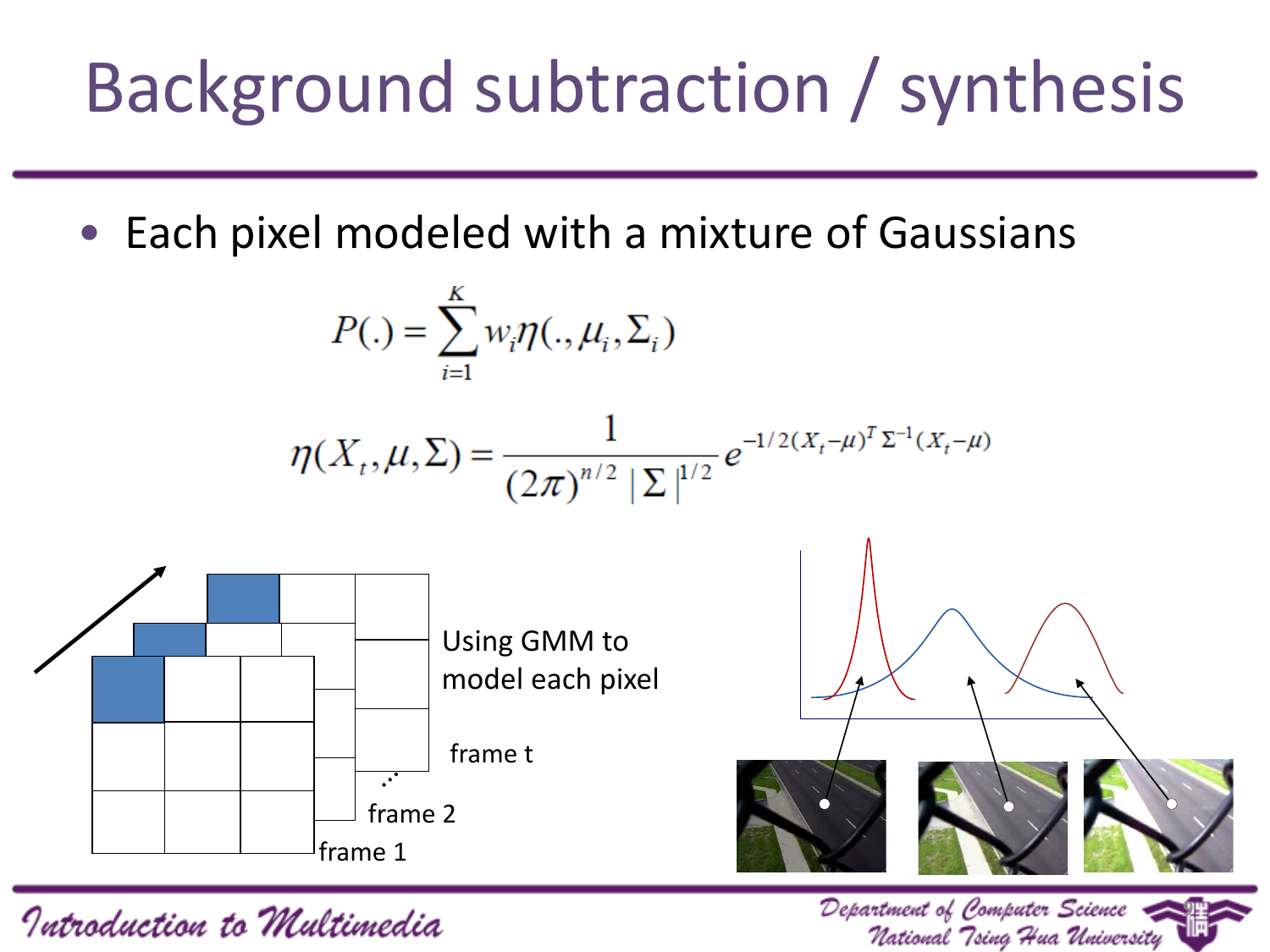# Background subtraction / synthesis

Each pixel modeled with a mixture of Gaussians

$$
P(.) = \sum_{i=1}^{K} w_i \eta(., \mu_i, \Sigma_i)
$$

$$
\eta(X_t, \mu, \Sigma) = \frac{1}{(2\pi)^{n/2} |\Sigma|^{1/2}} e^{-1/2(X_t - \mu)^T \Sigma^{-1}(X_t - \mu)}
$$



9

National Tsing Hua University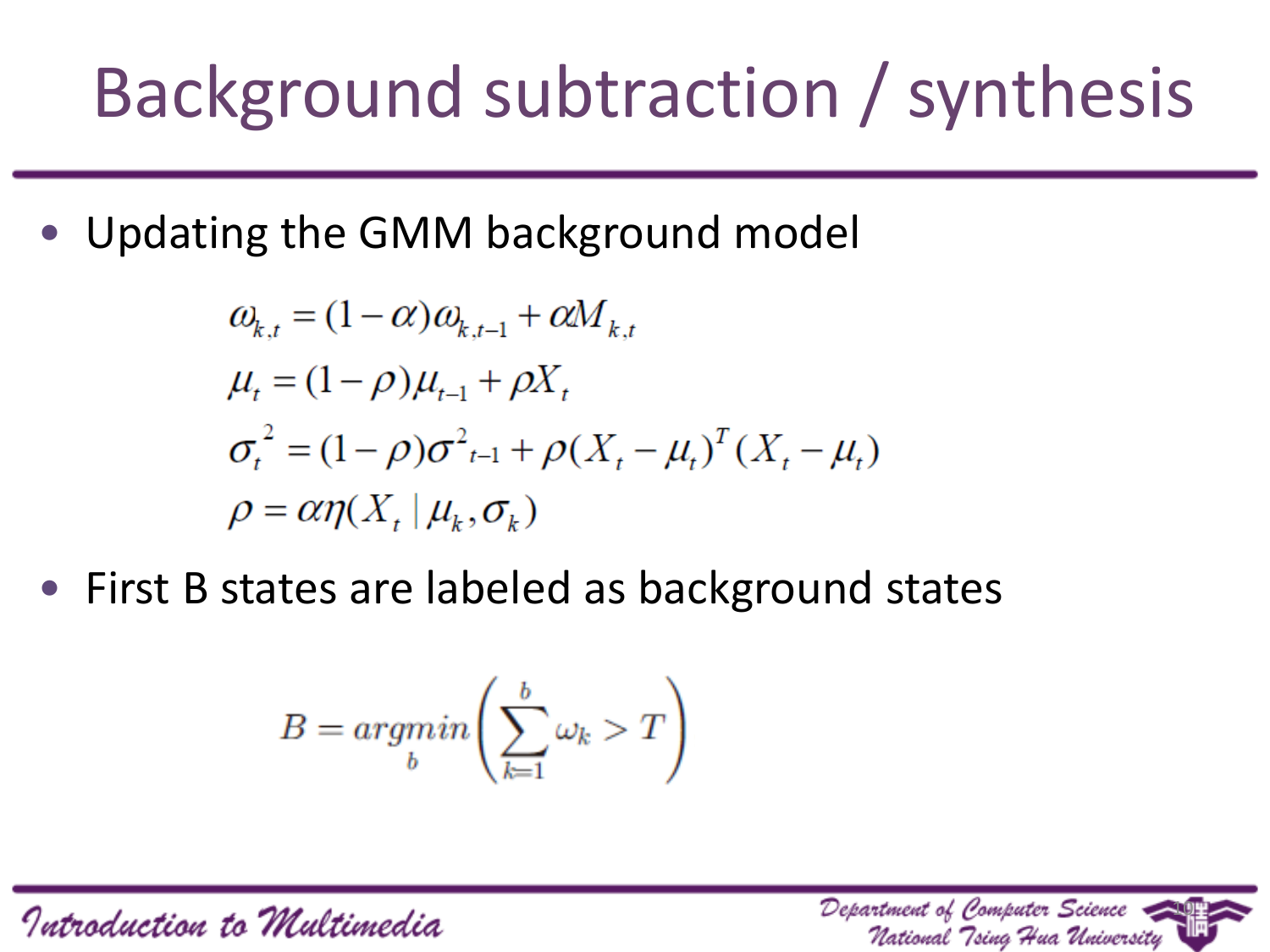# Background subtraction / synthesis

• Updating the GMM background model

$$
\omega_{k,t} = (1 - \alpha)\omega_{k,t-1} + \alpha M_{k,t}
$$
  
\n
$$
\mu_t = (1 - \rho)\mu_{t-1} + \rho X_t
$$
  
\n
$$
\sigma_t^2 = (1 - \rho)\sigma_{t-1}^2 + \rho (X_t - \mu_t)^T (X_t - \mu_t)
$$
  
\n
$$
\rho = \alpha \eta (X_t | \mu_k, \sigma_k)
$$

• First B states are labeled as background states

$$
B = argmin_b \left( \sum_{k=1}^b \omega_k > T \right)
$$

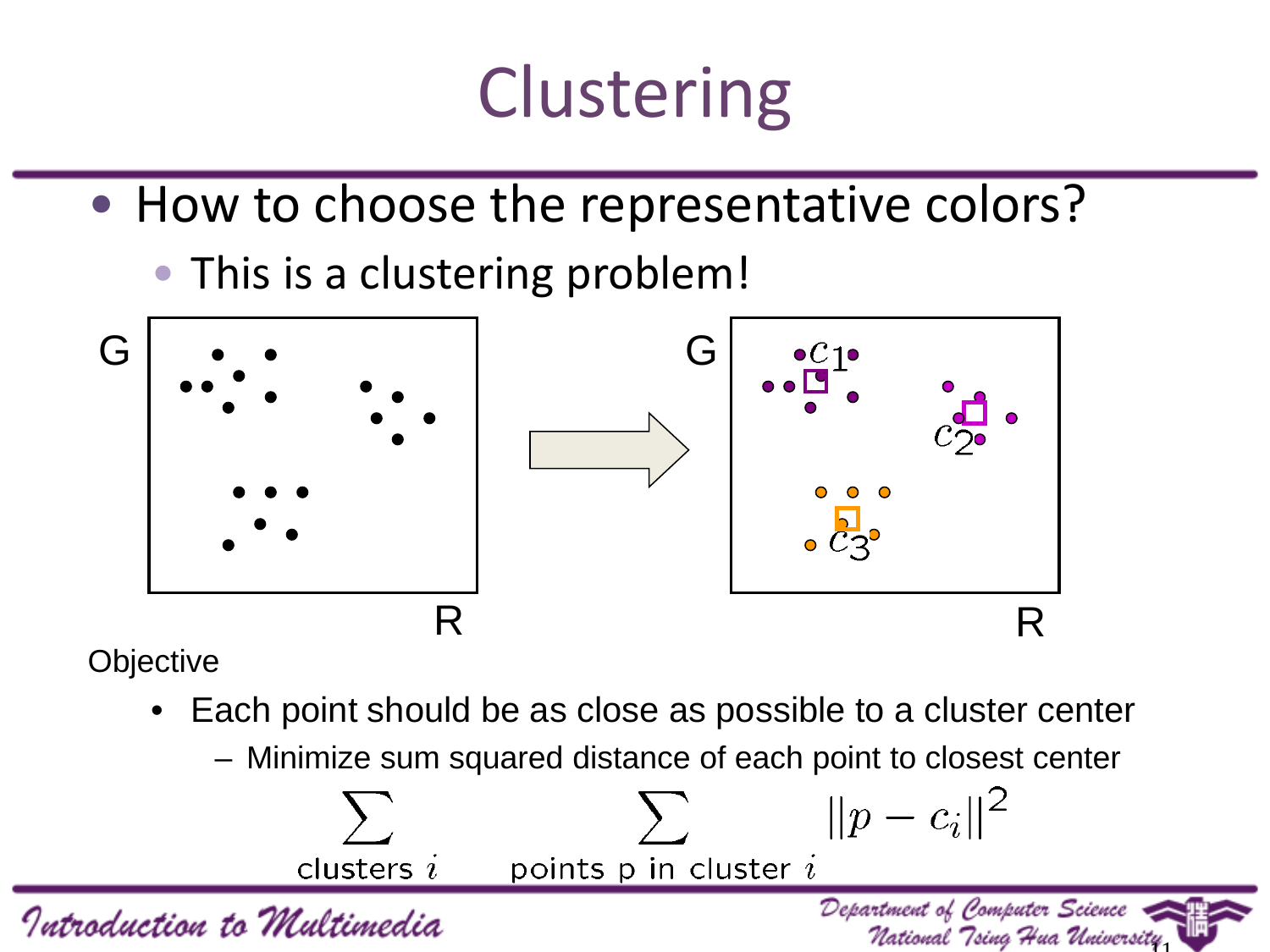# **Clustering**

- How to choose the representative colors?
	- This is a clustering problem!



**Objective** 

- Each point should be as close as possible to a cluster center
	- Minimize sum squared distance of each point to closest center

National Tsing Hua University

Department of Computer Science

 $||p - c_i||^2$ clusters  $i$ points  $p$  in cluster  $i$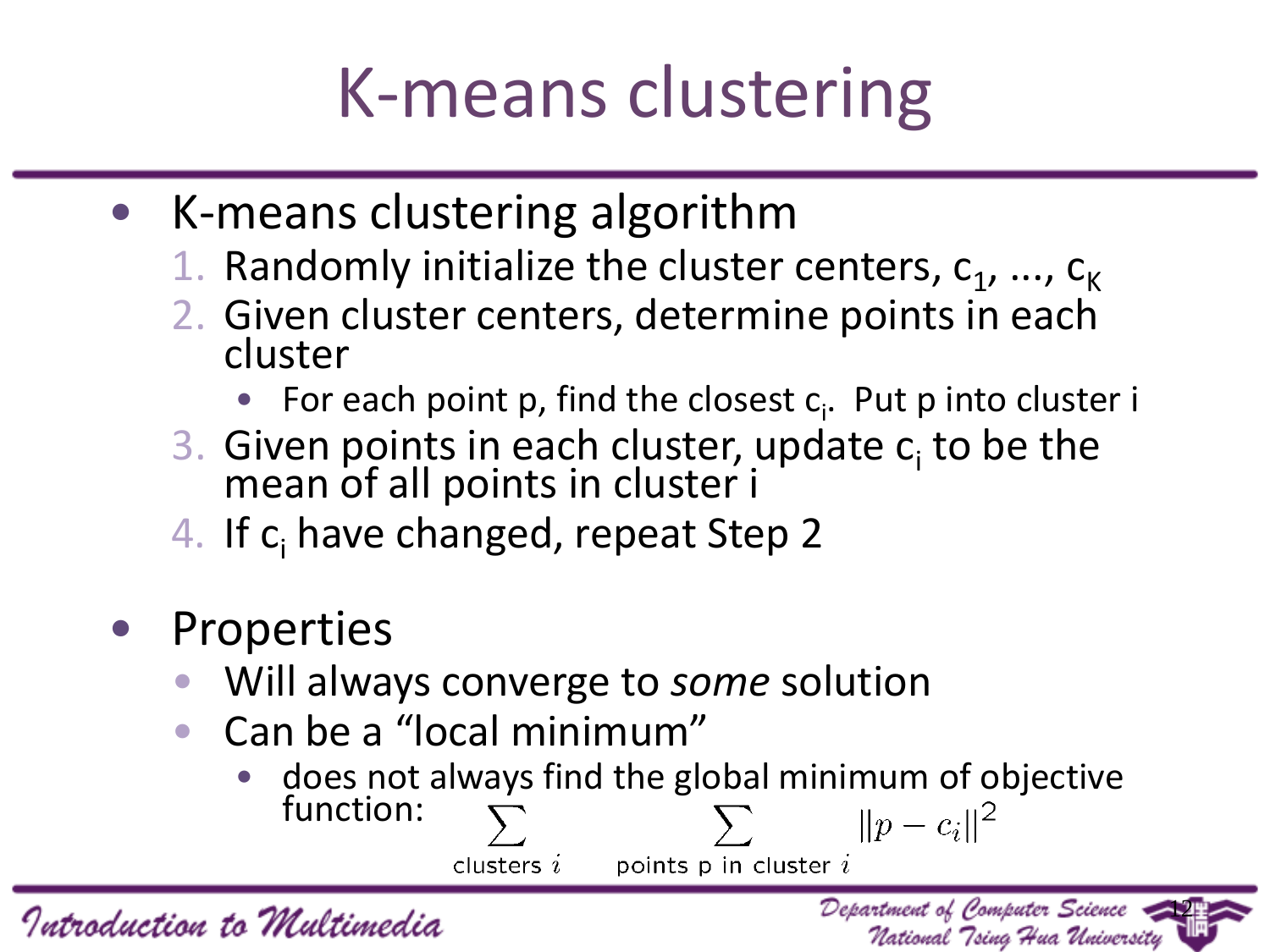# K-means clustering

- K-means clustering algorithm
	- 1. Randomly initialize the cluster centers,  $c_1$ , ...,  $c_k$
	- 2. Given cluster centers, determine points in each cluster
		- For each point p, find the closest  $c_i$ . Put p into cluster i
	- 3. Given points in each cluster, update  $c_i$  to be the mean of all points in cluster i
	- 4. If c<sub>i</sub> have changed, repeat Step 2
- Properties
	- Will always converge to *some* solution
	- Can be a "local minimum"
		- does not always find the global minimum of objective function:  $||p - c_i||^2$  $\sum$

points  $p$  in cluster  $i$ clusters  $i$ 

12

Department of Computer Science

National Tsing Hua University